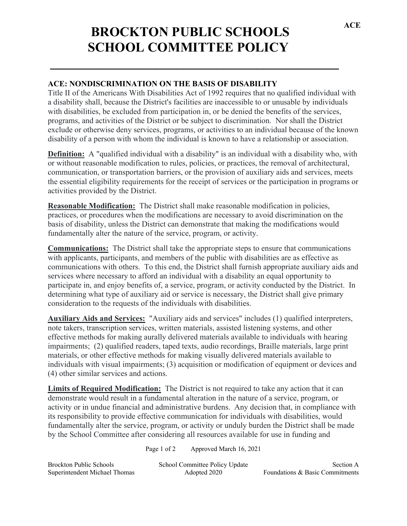## **BROCKTON PUBLIC SCHOOLS SCHOOL COMMITTEE POLICY \_\_\_\_\_\_\_\_\_\_\_\_\_\_\_\_\_\_\_\_\_\_\_\_\_\_\_\_\_\_\_\_\_\_\_\_\_\_\_\_\_\_\_\_\_\_**

## **ACE: NONDISCRIMINATION ON THE BASIS OF DISABILITY**

Title II of the Americans With Disabilities Act of 1992 requires that no qualified individual with a disability shall, because the District's facilities are inaccessible to or unusable by individuals with disabilities, be excluded from participation in, or be denied the benefits of the services, programs, and activities of the District or be subject to discrimination. Nor shall the District exclude or otherwise deny services, programs, or activities to an individual because of the known disability of a person with whom the individual is known to have a relationship or association.

**Definition:** A "qualified individual with a disability" is an individual with a disability who, with or without reasonable modification to rules, policies, or practices, the removal of architectural, communication, or transportation barriers, or the provision of auxiliary aids and services, meets the essential eligibility requirements for the receipt of services or the participation in programs or activities provided by the District.

**Reasonable Modification:** The District shall make reasonable modification in policies, practices, or procedures when the modifications are necessary to avoid discrimination on the basis of disability, unless the District can demonstrate that making the modifications would fundamentally alter the nature of the service, program, or activity.

**Communications:** The District shall take the appropriate steps to ensure that communications with applicants, participants, and members of the public with disabilities are as effective as communications with others. To this end, the District shall furnish appropriate auxiliary aids and services where necessary to afford an individual with a disability an equal opportunity to participate in, and enjoy benefits of, a service, program, or activity conducted by the District. In determining what type of auxiliary aid or service is necessary, the District shall give primary consideration to the requests of the individuals with disabilities.

**Auxiliary Aids and Services:** "Auxiliary aids and services" includes (1) qualified interpreters, note takers, transcription services, written materials, assisted listening systems, and other effective methods for making aurally delivered materials available to individuals with hearing impairments; (2) qualified readers, taped texts, audio recordings, Braille materials, large print materials, or other effective methods for making visually delivered materials available to individuals with visual impairments; (3) acquisition or modification of equipment or devices and (4) other similar services and actions.

**Limits of Required Modification:** The District is not required to take any action that it can demonstrate would result in a fundamental alteration in the nature of a service, program, or activity or in undue financial and administrative burdens. Any decision that, in compliance with its responsibility to provide effective communication for individuals with disabilities, would fundamentally alter the service, program, or activity or unduly burden the District shall be made by the School Committee after considering all resources available for use in funding and

Page 1 of 2 Approved March 16, 2021

| <b>Brockton Public Schools</b> | School Committee Policy Update | Section A                       |
|--------------------------------|--------------------------------|---------------------------------|
| Superintendent Michael Thomas  | Adopted 2020                   | Foundations & Basic Commitments |